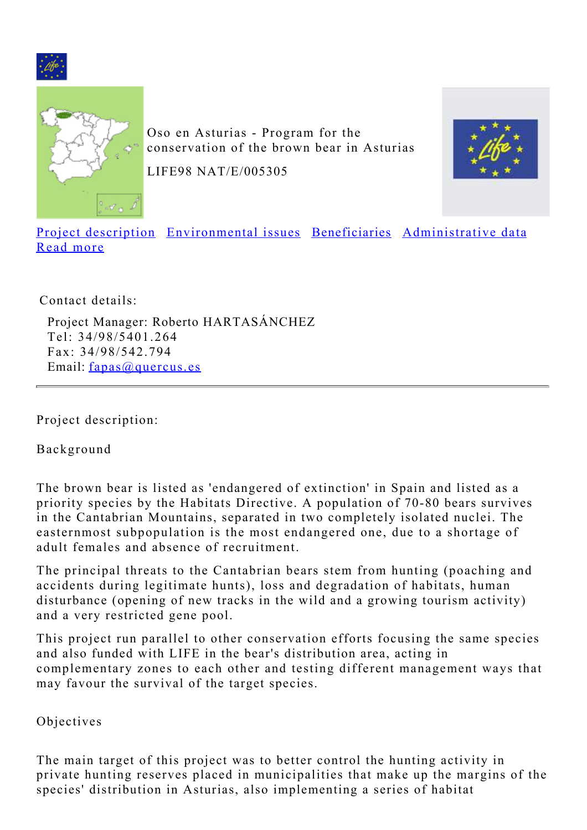<span id="page-0-1"></span>



Oso en Asturias - Program for the conservation of the brown bear in Asturias

LIFE98 NAT/E/005305



[Project description](#page-0-0) [Environmental issues](#page-3-0) [Beneficiaries](#page-4-0) [Administrative data](#page-4-1) [Read more](#page-4-2)

Contact details:

Project Manager: Roberto HARTASÁNCHEZ Tel: 34/98/5401.264 Fax: 34/98/542.794 Email: [fapas@quercus.es](mailto:fapas@quercus.es)

<span id="page-0-0"></span>Project description:

Background

The brown bear is listed as 'endangered of extinction' in Spain and listed as a priority species by the Habitats Directive. A population of 70-80 bears survives in the Cantabrian Mountains, separated in two completely isolated nuclei. The easternmost subpopulation is the most endangered one, due to a shortage of adult females and absence of recruitment.

The principal threats to the Cantabrian bears stem from hunting (poaching and accidents during legitimate hunts), loss and degradation of habitats, human disturbance (opening of new tracks in the wild and a growing tourism activity) and a very restricted gene pool.

This project run parallel to other conservation efforts focusing the same species and also funded with LIFE in the bear's distribution area, acting in complementary zones to each other and testing different management ways that may favour the survival of the target species.

Objectives

The main target of this project was to better control the hunting activity in private hunting reserves placed in municipalities that make up the margins of the species' distribution in Asturias, also implementing a series of habitat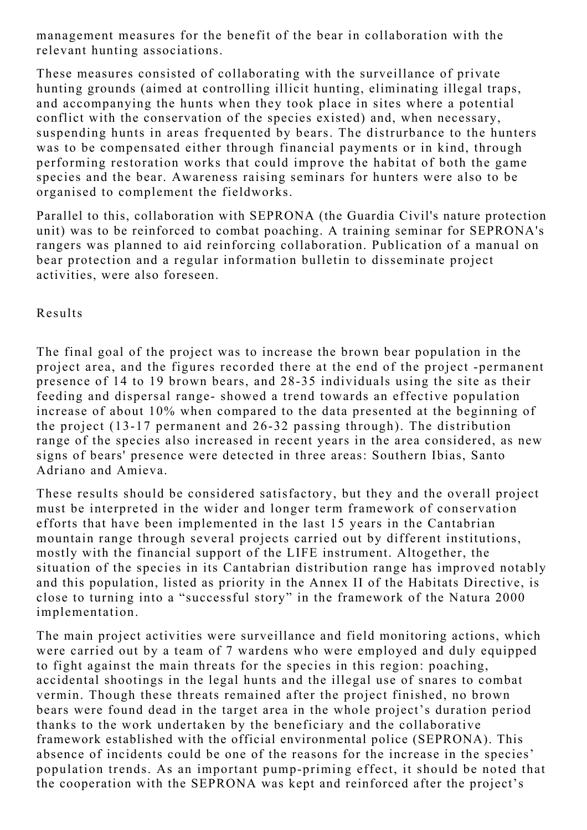management measures for the benefit of the bear in collaboration with the relevant hunting associations.

These measures consisted of collaborating with the surveillance of private hunting grounds (aimed at controlling illicit hunting, eliminating illegal traps, and accompanying the hunts when they took place in sites where a potential conflict with the conservation of the species existed) and, when necessary, suspending hunts in areas frequented by bears. The distrurbance to the hunters was to be compensated either through financial payments or in kind, through performing restoration works that could improve the habitat of both the game species and the bear. Awareness raising seminars for hunters were also to be organised to complement the fieldworks.

Parallel to this, collaboration with SEPRONA (the Guardia Civil's nature protection unit) was to be reinforced to combat poaching. A training seminar for SEPRONA's rangers was planned to aid reinforcing collaboration. Publication of a manual on bear protection and a regular information bulletin to disseminate project activities, were also foreseen.

Results

The final goal of the project was to increase the brown bear population in the project area, and the figures recorded there at the end of the project -permanent presence of 14 to 19 brown bears, and 28-35 individuals using the site as their feeding and dispersal range- showed a trend towards an effective population increase of about 10% when compared to the data presented at the beginning of the project (13-17 permanent and 26-32 passing through). The distribution range of the species also increased in recent years in the area considered, as new signs of bears' presence were detected in three areas: Southern Ibias, Santo Adriano and Amieva.

These results should be considered satisfactory, but they and the overall project must be interpreted in the wider and longer term framework of conservation efforts that have been implemented in the last 15 years in the Cantabrian mountain range through several projects carried out by different institutions, mostly with the financial support of the LIFE instrument. Altogether, the situation of the species in its Cantabrian distribution range has improved notably and this population, listed as priority in the Annex II of the Habitats Directive, is close to turning into a "successful story" in the framework of the Natura 2000 implementation.

The main project activities were surveillance and field monitoring actions, which were carried out by a team of 7 wardens who were employed and duly equipped to fight against the main threats for the species in this region: poaching, accidental shootings in the legal hunts and the illegal use of snares to combat vermin. Though these threats remained after the project finished, no brown bears were found dead in the target area in the whole project's duration period thanks to the work undertaken by the beneficiary and the collaborative framework established with the official environmental police (SEPRONA). This absence of incidents could be one of the reasons for the increase in the species' population trends. As an important pump-priming effect, it should be noted that the cooperation with the SEPRONA was kept and reinforced after the project's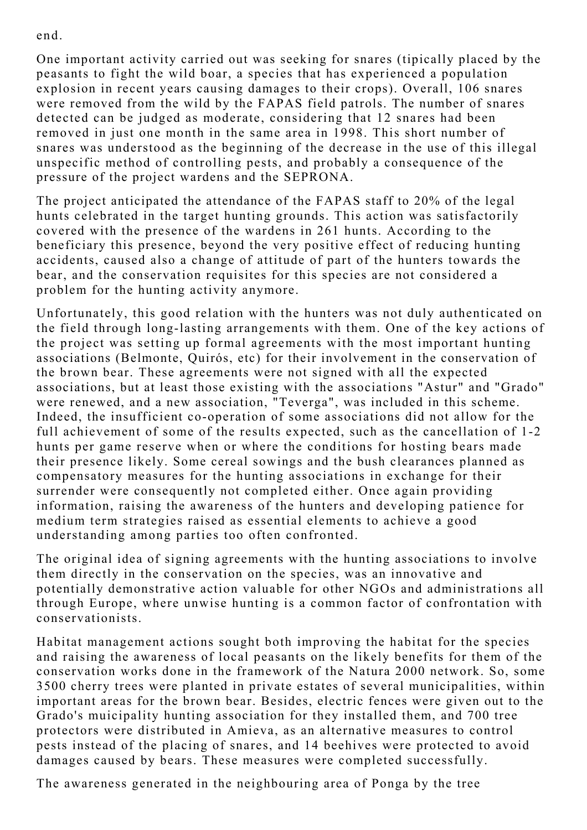end.

One important activity carried out was seeking for snares (tipically placed by the peasants to fight the wild boar, a species that has experienced a population explosion in recent years causing damages to their crops). Overall, 106 snares were removed from the wild by the FAPAS field patrols. The number of snares detected can be judged as moderate, considering that 12 snares had been removed in just one month in the same area in 1998. This short number of snares was understood as the beginning of the decrease in the use of this illegal unspecific method of controlling pests, and probably a consequence of the pressure of the project wardens and the SEPRONA.

The project anticipated the attendance of the FAPAS staff to 20% of the legal hunts celebrated in the target hunting grounds. This action was satisfactorily covered with the presence of the wardens in 261 hunts. According to the beneficiary this presence, beyond the very positive effect of reducing hunting accidents, caused also a change of attitude of part of the hunters towards the bear, and the conservation requisites for this species are not considered a problem for the hunting activity anymore.

Unfortunately, this good relation with the hunters was not duly authenticated on the field through long-lasting arrangements with them. One of the key actions of the project was setting up formal agreements with the most important hunting associations (Belmonte, Quirós, etc) for their involvement in the conservation of the brown bear. These agreements were not signed with all the expected associations, but at least those existing with the associations "Astur" and "Grado" were renewed, and a new association, "Teverga", was included in this scheme. Indeed, the insufficient co-operation of some associations did not allow for the full achievement of some of the results expected, such as the cancellation of 1-2 hunts per game reserve when or where the conditions for hosting bears made their presence likely. Some cereal sowings and the bush clearances planned as compensatory measures for the hunting associations in exchange for their surrender were consequently not completed either. Once again providing information, raising the awareness of the hunters and developing patience for medium term strategies raised as essential elements to achieve a good understanding among parties too often confronted.

The original idea of signing agreements with the hunting associations to involve them directly in the conservation on the species, was an innovative and potentially demonstrative action valuable for other NGOs and administrations all through Europe, where unwise hunting is a common factor of confrontation with conservationists.

Habitat management actions sought both improving the habitat for the species and raising the awareness of local peasants on the likely benefits for them of the conservation works done in the framework of the Natura 2000 network. So, some 3500 cherry trees were planted in private estates of several municipalities, within important areas for the brown bear. Besides, electric fences were given out to the Grado's muicipality hunting association for they installed them, and 700 tree protectors were distributed in Amieva, as an alternative measures to control pests instead of the placing of snares, and 14 beehives were protected to avoid damages caused by bears. These measures were completed successfully.

The awareness generated in the neighbouring area of Ponga by the tree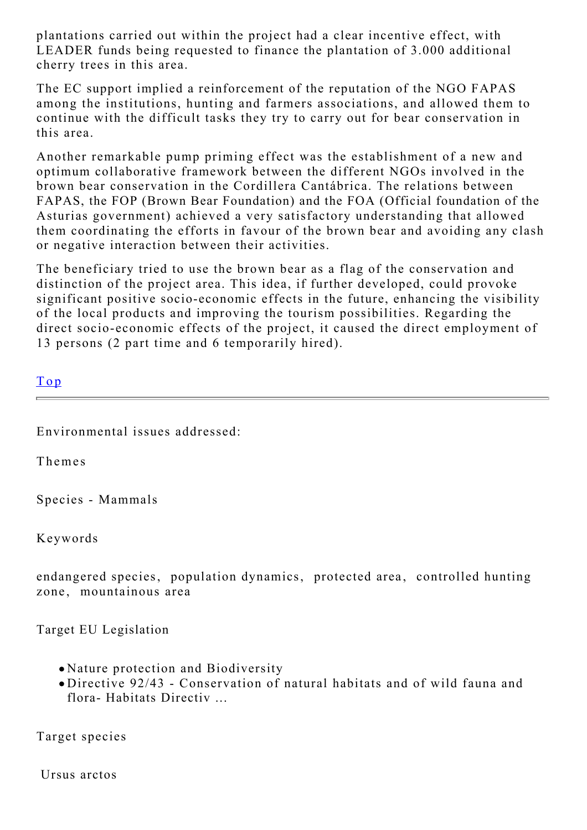plantations carried out within the project had a clear incentive effect, with LEADER funds being requested to finance the plantation of 3.000 additional cherry trees in this area.

The EC support implied a reinforcement of the reputation of the NGO FAPAS among the institutions, hunting and farmers associations, and allowed them to continue with the difficult tasks they try to carry out for bear conservation in this area.

Another remarkable pump priming effect was the establishment of a new and optimum collaborative framework between the different NGOs involved in the brown bear conservation in the Cordillera Cantábrica. The relations between FAPAS, the FOP (Brown Bear Foundation) and the FOA (Official foundation of the Asturias government) achieved a very satisfactory understanding that allowed them coordinating the efforts in favour of the brown bear and avoiding any clash or negative interaction between their activities.

The beneficiary tried to use the brown bear as a flag of the conservation and distinction of the project area. This idea, if further developed, could provoke significant positive socio-economic effects in the future, enhancing the visibility of the local products and improving the tourism possibilities. Regarding the direct socio-economic effects of the project, it caused the direct employment of 13 persons (2 part time and 6 temporarily hired).

| $\mathbf{r}$ |  |  |
|--------------|--|--|
|              |  |  |

<span id="page-3-0"></span>Environmental issues addressed:

Themes

Species - Mammals

Keywords

endangered species, population dynamics, protected area, controlled hunting zone, mountainous area

Target EU Legislation

- Nature protection and Biodiversity
- Directive 92/43 Conservation of natural habitats and of wild fauna and flora- Habitats Directiv ...

Target species

Ursus arctos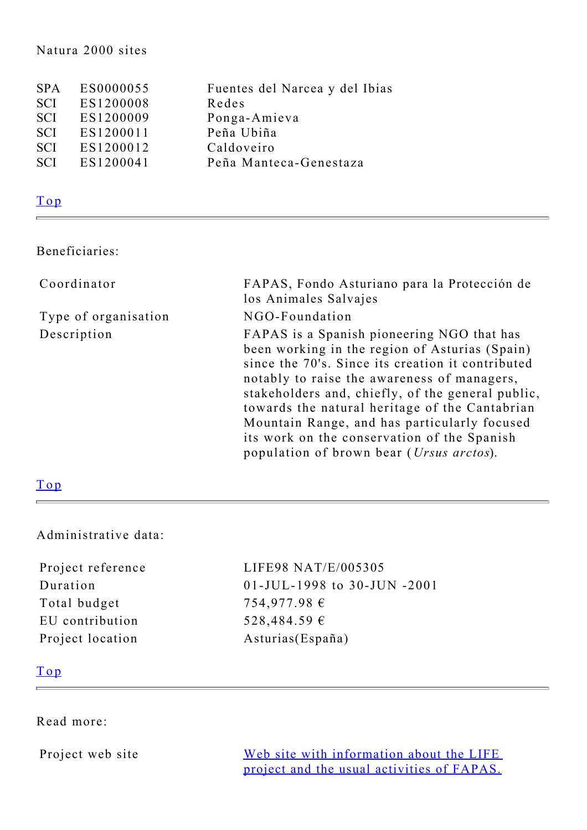#### Natura 2000 sites

| <b>SPA</b> | ES0000055 | Fuentes del Narcea y del Ibias |
|------------|-----------|--------------------------------|
| <b>SCI</b> | ES1200008 | Redes                          |
| <b>SCI</b> | ES1200009 | Ponga-Amieva                   |
| <b>SCI</b> | ES1200011 | Peña Ubiña                     |
| <b>SCI</b> | ES1200012 | Caldoveiro                     |
| <b>SCI</b> | ES1200041 | Peña Manteca-Genestaza         |

## [Top](#page-0-1)

### <span id="page-4-0"></span>Beneficiaries:

| Coordinator          | FAPAS, Fondo Asturiano para la Protección de<br>los Animales Salvajes                                                                                                                                                                                                                                                                                                                                                                                       |
|----------------------|-------------------------------------------------------------------------------------------------------------------------------------------------------------------------------------------------------------------------------------------------------------------------------------------------------------------------------------------------------------------------------------------------------------------------------------------------------------|
| Type of organisation | NGO-Foundation                                                                                                                                                                                                                                                                                                                                                                                                                                              |
| Description          | FAPAS is a Spanish pioneering NGO that has<br>been working in the region of Asturias (Spain)<br>since the 70's. Since its creation it contributed<br>notably to raise the awareness of managers,<br>stakeholders and, chiefly, of the general public,<br>towards the natural heritage of the Cantabrian<br>Mountain Range, and has particularly focused<br>its work on the conservation of the Spanish<br>population of brown bear ( <i>Ursus arctos</i> ). |

## [Top](#page-0-1)

### <span id="page-4-1"></span>Administrative data:

| Project reference |  |  |
|-------------------|--|--|
| Duration          |  |  |
| Total budget      |  |  |
| EU contribution   |  |  |
| Project location  |  |  |

LIFE98 NAT/E/005305 01-JUL-1998 to 30-JUN -2001 754,977.98 € 528,484.59 € Asturias(España)

## [Top](#page-0-1)

<span id="page-4-2"></span>Read more:

Project web site [Web site with information about the LIFE](http://www.fapas.es/osos.htm) [project and the usual activities of FAPAS.](http://www.fapas.es/osos.htm)